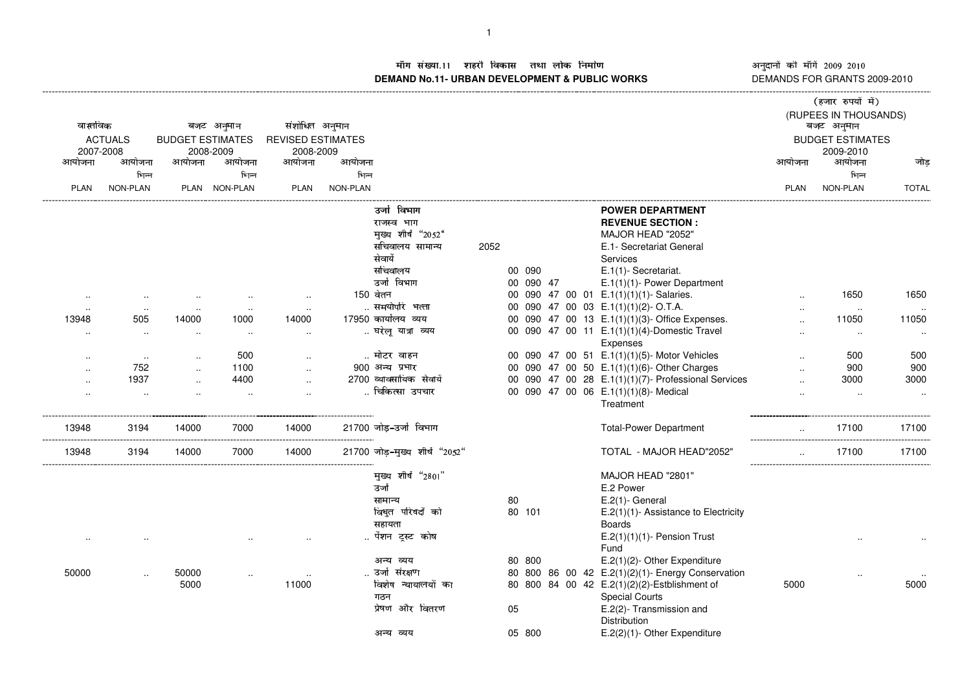- **DEMAND No.11- URBAN DEVELOPMENT & PUBLIC WORKS** DEMANDS FOR GRANTS 2009-2010

नुदानों की माँगें 2009–2010<br>EMANDS FOR GRANTS 2009-2011 ---------------------

| वास्तविक<br>आयोजना | <b>ACTUALS</b><br>2007-2008<br>आयोजना<br>भिन्न | <b>BUDGET ESTIMATES</b><br>आयोजना | बजट अनुमान<br>2008-2009<br>आयोजना<br>भिन्न | संशोधित अनुमान<br><b>REVISED ESTIMATES</b><br>2008-2009<br>आयोजना | आयोजना<br>भिन्न |                                                                                                       |      |                     |  |                                                                                                                                                                       | आयोजना      | (हजार रुपयों में)<br>(RUPEES IN THOUSANDS)<br>बजट अनुमान<br><b>BUDGET ESTIMATES</b><br>2009-2010<br>आयोजना<br>भिन्न | जोड                |
|--------------------|------------------------------------------------|-----------------------------------|--------------------------------------------|-------------------------------------------------------------------|-----------------|-------------------------------------------------------------------------------------------------------|------|---------------------|--|-----------------------------------------------------------------------------------------------------------------------------------------------------------------------|-------------|---------------------------------------------------------------------------------------------------------------------|--------------------|
| <b>PLAN</b>        | NON-PLAN                                       |                                   | PLAN NON-PLAN                              | <b>PLAN</b>                                                       | NON-PLAN        |                                                                                                       |      |                     |  |                                                                                                                                                                       | <b>PLAN</b> | NON-PLAN                                                                                                            | <b>TOTAL</b>       |
|                    |                                                |                                   |                                            |                                                                   |                 | उनो विभाग<br>राजस्व भाग<br>मुख्य शीर्ष "2052"<br>सचिवालय सामान्य<br>सेवायें<br>सचिवालय<br>उर्जा विभाग | 2052 | 00 090<br>00 090 47 |  | <b>POWER DEPARTMENT</b><br><b>REVENUE SECTION:</b><br>MAJOR HEAD "2052"<br>E.1- Secretariat General<br>Services<br>E.1(1)-Secretariat.<br>E.1(1)(1)- Power Department |             |                                                                                                                     |                    |
|                    |                                                |                                   |                                            |                                                                   |                 | 150 वेतन                                                                                              |      |                     |  | 00 090 47 00 01 E.1(1)(1)(1)- Salaries.                                                                                                                               |             | 1650                                                                                                                | 1650               |
| $\cdot$ .          | $\cdot$ .                                      |                                   |                                            |                                                                   |                 | समयोपरि भत्ता                                                                                         |      |                     |  | 00 090 47 00 03 E.1(1)(1)(2)-O.T.A.                                                                                                                                   |             | $\sim$                                                                                                              |                    |
| 13948              | 505                                            | 14000                             | 1000                                       | 14000                                                             |                 | 17950 कार्यालय व्यय                                                                                   |      |                     |  | 00 090 47 00 13 E.1(1)(1)(3)- Office Expenses.                                                                                                                        |             | 11050                                                                                                               | 11050              |
| $\cdot$ .          | $\sim$                                         | $\ddotsc$                         | $\cdot$ .                                  | $\sim$                                                            |                 | घरेलू यात्रा व्यय                                                                                     |      |                     |  | 00 090 47 00 11 E.1(1)(1)(4)-Domestic Travel<br>Expenses                                                                                                              |             | $\cdot$ .                                                                                                           | $\sim$             |
| $\sim$             | $\cdot$ .                                      |                                   | 500                                        |                                                                   |                 | मोटर वाहन                                                                                             |      |                     |  | 00 090 47 00 51 E.1(1)(1)(5)- Motor Vehicles                                                                                                                          |             | 500                                                                                                                 | 500                |
|                    | 752                                            |                                   | 1100                                       |                                                                   |                 | 900 अन्य प्रभार                                                                                       |      |                     |  | 00 090 47 00 50 E.1(1)(1)(6)- Other Charges                                                                                                                           |             | 900                                                                                                                 | 900                |
| $\cdot$ .          | 1937                                           |                                   | 4400                                       |                                                                   |                 | 2700 व्यावसायिक सेवायें                                                                               |      |                     |  | 00 090 47 00 28 E.1(1)(1)(7)- Professional Services                                                                                                                   |             | 3000                                                                                                                | 3000               |
| $\cdot$ .          | $\ddot{\phantom{a}}$                           |                                   | $\ddotsc$                                  |                                                                   |                 | चिकित्सा उपचार                                                                                        |      |                     |  | 00 090 47 00 06 E.1(1)(1)(8)- Medical<br>Treatment                                                                                                                    |             | $\ddotsc$                                                                                                           | $\ddotsc$          |
| 13948              | 3194                                           | 14000                             | 7000                                       | 14000                                                             |                 | 21700 जोड-उर्जा विभाग                                                                                 |      |                     |  | <b>Total-Power Department</b>                                                                                                                                         |             | 17100                                                                                                               | 17100<br>--------- |
| 13948              | 3194                                           | 14000                             | 7000                                       | 14000                                                             |                 | 21700 जोड़-मुख्य शीर्ष "2052"                                                                         |      |                     |  | TOTAL - MAJOR HEAD"2052"                                                                                                                                              |             | 17100                                                                                                               | 17100              |
|                    |                                                |                                   |                                            |                                                                   |                 | मुख्य शीर्ष "2801"<br>उर्जा                                                                           |      |                     |  | MAJOR HEAD "2801"<br>E.2 Power                                                                                                                                        |             |                                                                                                                     |                    |
|                    |                                                |                                   |                                            |                                                                   |                 | सामान्य                                                                                               |      | 80                  |  | $E.2(1)$ - General                                                                                                                                                    |             |                                                                                                                     |                    |
|                    |                                                |                                   |                                            |                                                                   |                 | विधुत परिषदों को                                                                                      |      | 80 101              |  | E.2(1)(1)- Assistance to Electricity                                                                                                                                  |             |                                                                                                                     |                    |
|                    |                                                |                                   |                                            |                                                                   |                 | सहायता                                                                                                |      |                     |  | <b>Boards</b>                                                                                                                                                         |             |                                                                                                                     |                    |
|                    |                                                |                                   |                                            |                                                                   |                 | पेंशन ट्रस्ट कोष                                                                                      |      |                     |  | $E.2(1)(1)(1)$ - Pension Trust<br>Fund                                                                                                                                |             |                                                                                                                     |                    |
|                    |                                                |                                   |                                            |                                                                   |                 | अन्य व्यय                                                                                             |      | 80 800              |  | E.2(1)(2)- Other Expenditure                                                                                                                                          |             |                                                                                                                     |                    |
| 50000              |                                                | 50000                             |                                            |                                                                   |                 | उर्जा संरक्षण                                                                                         |      |                     |  | 80 800 86 00 42 E.2(1)(2)(1)- Energy Conservation                                                                                                                     |             |                                                                                                                     |                    |
|                    |                                                | 5000                              |                                            | 11000                                                             |                 | विशेष न्यायालयों का<br>गठन                                                                            |      |                     |  | 80 800 84 00 42 E.2(1)(2)(2)-Estblishment of<br><b>Special Courts</b>                                                                                                 | 5000        |                                                                                                                     | 5000               |
|                    |                                                |                                   |                                            |                                                                   |                 | प्रेषण और वितरण                                                                                       |      | 05                  |  | E.2(2)- Transmission and<br>Distribution                                                                                                                              |             |                                                                                                                     |                    |
|                    |                                                |                                   |                                            |                                                                   |                 | अन्य व्यय                                                                                             |      | 05 800              |  | E.2(2)(1)- Other Expenditure                                                                                                                                          |             |                                                                                                                     |                    |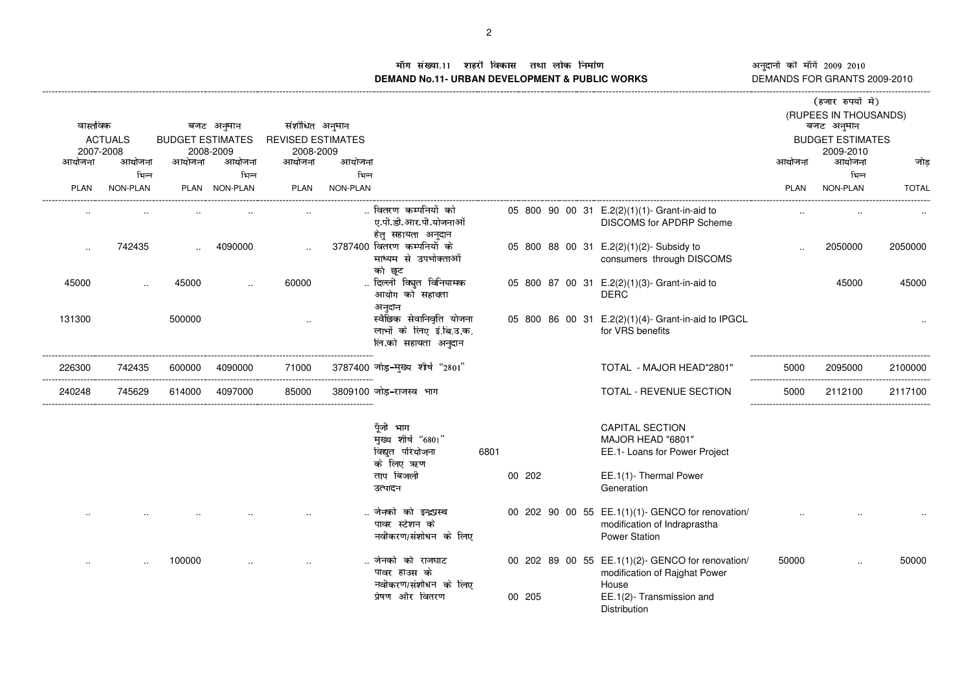+,-./01,43 <sup>2556</sup> ,879:;<=,/>,?,,@A=;B+,CED,FGIH**DEMAND No.11- URBAN DEVELOPMENT & PUBLIC WORKS** DEMANDS FOR GRANTS 2009-2010

## नुदानों की माँगें 2009–2010<br>EMANDS FOR GRANTS 2009-2011 ---------------------

|                                         |                      |                                                    |               |                                               |                 |                                                                               |      |        |  |                                                                                                           |                                                                | (हजार रुपयों में)   |              |  |
|-----------------------------------------|----------------------|----------------------------------------------------|---------------|-----------------------------------------------|-----------------|-------------------------------------------------------------------------------|------|--------|--|-----------------------------------------------------------------------------------------------------------|----------------------------------------------------------------|---------------------|--------------|--|
| वास्तविक<br><b>ACTUALS</b><br>2007-2008 |                      | बजट अनुमान<br><b>BUDGET ESTIMATES</b><br>2008-2009 |               | संशोधित अनुमान<br><b>REVISED ESTIMATES</b>    |                 |                                                                               |      |        |  |                                                                                                           | (RUPEES IN THOUSANDS)<br>बजट अनुमान<br><b>BUDGET ESTIMATES</b> |                     |              |  |
| आयोजना                                  | आयोजना               | आयोजना                                             | आयोजना        | 2008-2009<br>आयोजना                           | आयोजना          |                                                                               |      |        |  |                                                                                                           | आयोजना                                                         | 2009-2010<br>आयोजना | जोड          |  |
|                                         | भिन्न                |                                                    | भिन्न         |                                               | भिन्न           |                                                                               |      |        |  |                                                                                                           |                                                                | भिन्न               |              |  |
| <b>PLAN</b>                             | NON-PLAN             |                                                    | PLAN NON-PLAN | <b>PLAN</b>                                   | <b>NON-PLAN</b> |                                                                               |      |        |  |                                                                                                           | <b>PLAN</b>                                                    | NON-PLAN            | <b>TOTAL</b> |  |
|                                         |                      |                                                    |               |                                               |                 | वितरण कर्म्पानयों को<br>ए.पी.डी.आर.पी.योजनाओं<br>हेतु सहायता अनुदान           |      |        |  | 05 800 90 00 31 E.2(2)(1)(1)- Grant-in-aid to<br><b>DISCOMS for APDRP Scheme</b>                          |                                                                |                     |              |  |
|                                         | 742435               |                                                    | 4090000       | $\cdot$                                       |                 | 3787400 वितरण कम्पनियों के<br>माध्यम से उपभोक्ताओं<br>को छूट                  |      |        |  | 05 800 88 00 31 E.2(2)(1)(2)- Subsidy to<br>consumers through DISCOMS                                     |                                                                | 2050000             | 2050000      |  |
| 45000                                   | $\ddot{\phantom{a}}$ | 45000                                              |               | 60000                                         |                 | दिल्ली विघुत विनियामक<br>आयोग को सहायता<br>अनुदान                             |      |        |  | 05 800 87 00 31 E.2(2)(1)(3)- Grant-in-aid to<br><b>DERC</b>                                              |                                                                | 45000               | 45000        |  |
| 131300                                  |                      | 500000                                             |               | $\cdot$                                       |                 | स्वैछिक सेवानिवृति योजना<br>लाभों के लिए इं.बि.उ.क.<br>लि.को सहायता अनुदान    |      |        |  | 05 800 86 00 31 E.2(2)(1)(4)- Grant-in-aid to IPGCL<br>for VRS benefits                                   |                                                                |                     |              |  |
| 226300                                  | 742435               | 600000                                             | 4090000       | 71000<br>------------------------------------ |                 | 3787400 जोड़-मुख्य शीर्ष "2801"                                               |      |        |  | TOTAL - MAJOR HEAD"2801"                                                                                  | 5000                                                           | 2095000             | 2100000      |  |
| 240248                                  | 745629               | 614000                                             | 4097000       | 85000                                         |                 | 3809100 जोड़-राजस्व भाग                                                       |      |        |  | TOTAL - REVENUE SECTION                                                                                   | 5000                                                           | 2112100             | 2117100      |  |
|                                         |                      |                                                    |               |                                               |                 | पूँजी भाग<br>मुख्य शीर्ष "6801"<br>विद्युत परियोजना<br>के लिए ऋण<br>ताप बिजली | 6801 | 00 202 |  | <b>CAPITAL SECTION</b><br>MAJOR HEAD "6801"<br>EE.1- Loans for Power Project<br>EE.1(1)- Thermal Power    |                                                                |                     |              |  |
|                                         |                      |                                                    |               |                                               |                 | उत्पादन                                                                       |      |        |  | Generation                                                                                                |                                                                |                     |              |  |
|                                         |                      |                                                    |               |                                               |                 | जेनको को इन्द्रप्रस्थ<br>पावर स्टेशन के<br>नवीकरण/संशोधन के लिए               |      |        |  | 00 202 90 00 55 EE.1(1)(1)- GENCO for renovation/<br>modification of Indraprastha<br><b>Power Station</b> |                                                                |                     |              |  |
|                                         |                      | 100000                                             |               |                                               |                 | जेनको को राजघाट<br>पावर हाउस के<br>नवीकरण/संशोधन के लिए                       |      |        |  | 00 202 89 00 55 EE.1(1)(2)- GENCO for renovation/<br>modification of Rajghat Power<br>House               | 50000                                                          |                     | 50000        |  |
|                                         |                      |                                                    |               |                                               |                 | प्रेषण और वितरण                                                               |      | 00 205 |  | EE.1(2)- Transmission and<br>Distribution                                                                 |                                                                |                     |              |  |
|                                         |                      |                                                    |               |                                               |                 |                                                                               |      |        |  |                                                                                                           |                                                                |                     |              |  |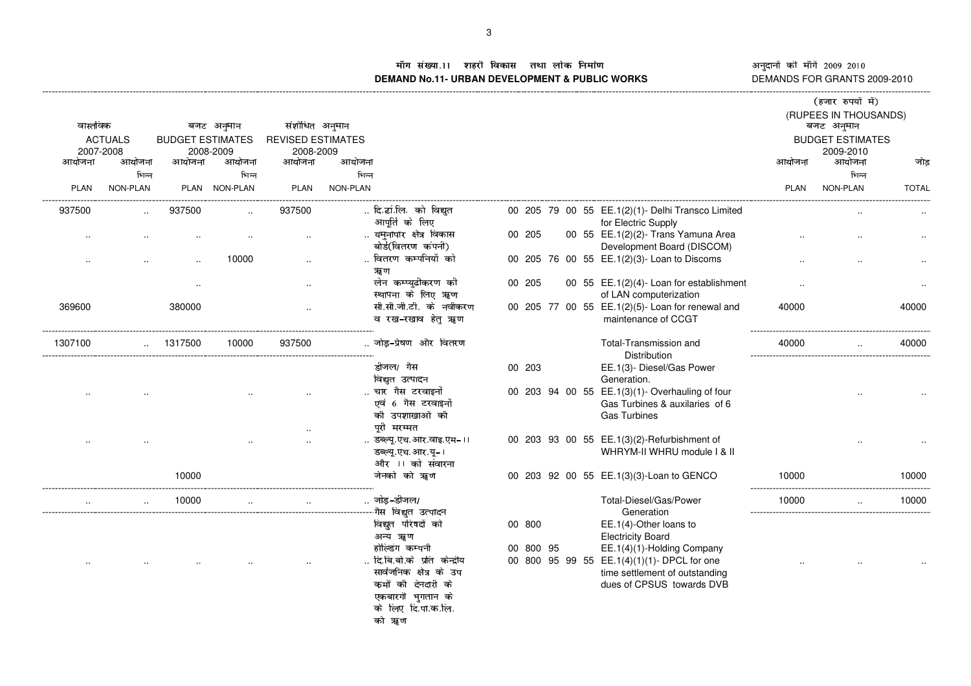STUVWXYT\[ Z]]^ T`\_abcdeTWfTgTThiecjSTk:lTmn **DEMAND No.11- URBAN DEVELOPMENT & PUBLIC WORKS** DEMANDS FOR GRANTS 2009-2010

अनुदानों की माँगें 2009–2010 नुदानों की माँगें 2009–2010<br>EMANDS FOR GRANTS 2009-2011 ---------------------

| (RUPEES IN THOUSANDS)<br>बजट अनुमान<br><b>BUDGET ESTIMATES</b><br>2009-2010                                                                                        |
|--------------------------------------------------------------------------------------------------------------------------------------------------------------------|
|                                                                                                                                                                    |
| आयोजना<br>जोड<br>आयोजना                                                                                                                                            |
| भिन्न                                                                                                                                                              |
| NON-PLAN<br><b>TOTAL</b><br>PLAN                                                                                                                                   |
| 00 205 79 00 55 EE.1(2)(1)- Delhi Transco Limited                                                                                                                  |
| 00 55 EE.1(2)(2)- Trans Yamuna Area<br>Development Board (DISCOM)                                                                                                  |
| 00 205 76 00 55 EE.1(2)(3)- Loan to Discoms                                                                                                                        |
| 00 55 EE.1(2)(4)- Loan for establishment<br>of LAN computerization                                                                                                 |
| 00 205 77 00 55 EE.1(2)(5)- Loan for renewal and<br>40000<br>40000<br>maintenance of CCGT                                                                          |
| Total-Transmission and<br>40000<br>40000                                                                                                                           |
| EE.1(3)- Diesel/Gas Power                                                                                                                                          |
| 00 203 94 00 55 EE.1(3)(1)- Overhauling of four<br>Gas Turbines & auxilaries of 6                                                                                  |
| 00 203 93 00 55 EE.1(3)(2)-Refurbishment of<br>WHRYM-II WHRU module   & II                                                                                         |
| 10000<br>00 203 92 00 55 EE.1(3)(3)-Loan to GENCO<br>10000                                                                                                         |
| Total-Diesel/Gas/Power<br>10000<br>10000                                                                                                                           |
| EE.1(4)-Other loans to<br>EE.1(4)(1)-Holding Company<br>00 800 95 99 55 EE.1(4)(1)(1)- DPCL for one<br>time settlement of outstanding<br>dues of CPSUS towards DVB |
|                                                                                                                                                                    |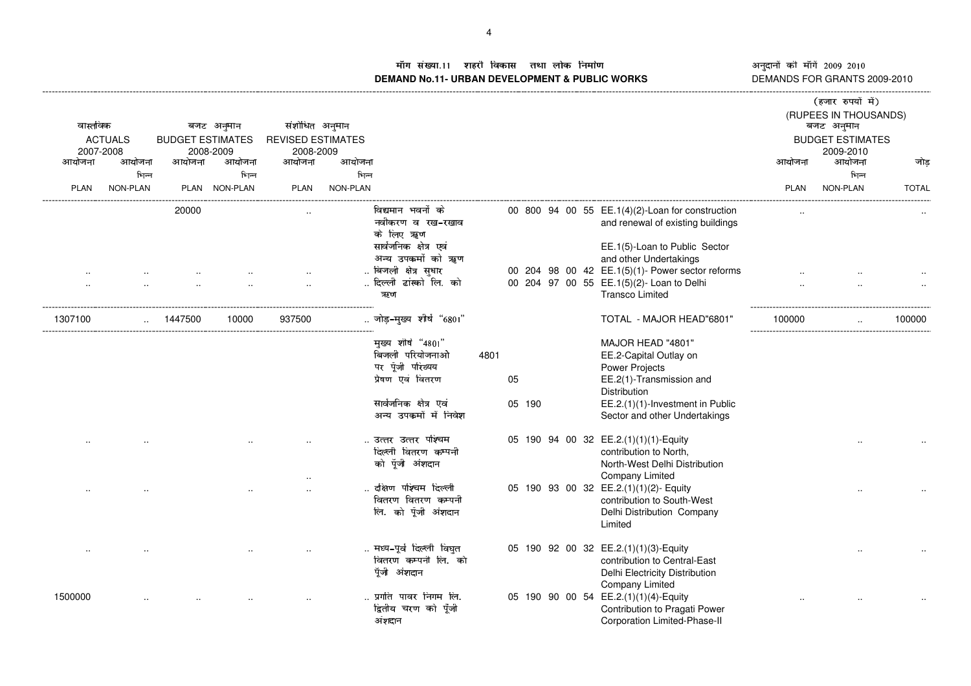!#"**DEMAND No.11- URBAN DEVELOPMENT & PUBLIC WORKS** DEMANDS FOR GRANTS 2009-2010

नुदानों की माँगें 2009–2010<br>EMANDS FOR GRANTS 2009-201 ---------------------

| आयोजना<br><b>PLAN</b> | वास्तविक<br><b>ACTUALS</b><br>2007-2008<br>आयोजना<br>भिन्न<br>NON-PLAN | आयोजना<br>20000 | बजट अनुमान<br><b>BUDGET ESTIMATES</b><br>2008-2009<br>आयोजना<br>भिन्न<br>PLAN NON-PLAN | संशोधित अनुमान<br><b>REVISED ESTIMATES</b><br>2008-2009<br>आयोजना<br><b>PLAN</b> | आयोजना<br>भिन्न<br>NON-PLAN | विद्यमान भवनों के<br>नवीकरण व रख-रखाव                                                                                             |      |              |  | 00 800 94 00 55 EE.1(4)(2)-Loan for construction<br>and renewal of existing buildings                                                                                                 | आयोजना<br><b>PLAN</b> | (हजार रुपयों में)<br>(RUPEES IN THOUSANDS)<br>बजट अनुमान<br><b>BUDGET ESTIMATES</b><br>2009-2010<br>आयोजना<br>भिन्न<br>NON-PLAN | जोड<br><b>TOTAL</b> |
|-----------------------|------------------------------------------------------------------------|-----------------|----------------------------------------------------------------------------------------|----------------------------------------------------------------------------------|-----------------------------|-----------------------------------------------------------------------------------------------------------------------------------|------|--------------|--|---------------------------------------------------------------------------------------------------------------------------------------------------------------------------------------|-----------------------|---------------------------------------------------------------------------------------------------------------------------------|---------------------|
|                       |                                                                        |                 |                                                                                        |                                                                                  |                             | के लिए ॠण<br>सार्वजनिक क्षेत्र एवं<br>अन्य उपकर्मो को ॠण<br>बिजली क्षेत्र सुधार<br>दिल्ली टांस्को लि. को<br>ऋण                    |      |              |  | EE.1(5)-Loan to Public Sector<br>and other Undertakings<br>00 204 98 00 42 EE.1(5)(1)- Power sector reforms<br>00 204 97 00 55 EE.1(5)(2)- Loan to Delhi<br><b>Transco Limited</b>    |                       |                                                                                                                                 |                     |
| 1307100               |                                                                        | 1447500         | 10000                                                                                  | 937500                                                                           |                             | जोड़-मुख्य शीर्ष "6801"                                                                                                           |      |              |  | TOTAL - MAJOR HEAD"6801"                                                                                                                                                              | 100000                |                                                                                                                                 | 100000              |
|                       |                                                                        |                 |                                                                                        |                                                                                  |                             | मुख्य शीर्ष "4801"<br>बिजली परियोजनाओ<br>पर पूँजी परिव्यय<br>प्रेषण एवं वितरण<br>सार्वजनिक क्षेत्र एवं<br>अन्य उपकर्मों में निवेश | 4801 | 05<br>05 190 |  | MAJOR HEAD "4801"<br>EE.2-Capital Outlay on<br><b>Power Projects</b><br>EE.2(1)-Transmission and<br>Distribution<br>EE.2.(1)(1)-Investment in Public<br>Sector and other Undertakings |                       |                                                                                                                                 |                     |
|                       |                                                                        |                 |                                                                                        |                                                                                  |                             | उत्तर उत्तर पश्चिम<br>दिल्ली वितरण कम्पनी<br>को पूँजी अंशदान                                                                      |      |              |  | 05 190 94 00 32 EE.2.(1)(1)(1)-Equity<br>contribution to North,<br>North-West Delhi Distribution<br>Company Limited                                                                   |                       |                                                                                                                                 |                     |
|                       |                                                                        |                 |                                                                                        |                                                                                  |                             | दक्षिण पश्चिम दिल्ली<br>वितरण वितरण कम्पनी<br>लि. को पूँजी अंशदान                                                                 |      |              |  | 05 190 93 00 32 EE.2.(1)(1)(2)- Equity<br>contribution to South-West<br>Delhi Distribution Company<br>Limited                                                                         |                       |                                                                                                                                 |                     |
|                       |                                                                        |                 |                                                                                        |                                                                                  |                             | मध्य-पूर्व दिल्ली विघुत<br>वितरण कम्पनी लि. को<br>पूँजी अंशदान                                                                    |      |              |  | 05 190 92 00 32 EE.2.(1)(1)(3)-Equity<br>contribution to Central-East<br>Delhi Electricity Distribution<br><b>Company Limited</b>                                                     |                       |                                                                                                                                 |                     |
| 1500000               |                                                                        |                 |                                                                                        |                                                                                  |                             | प्रगति पावर निगम लि.<br>द्वितीय चरण को पूँजी<br>अंशदान                                                                            |      |              |  | 05 190 90 00 54 EE.2.(1)(1)(4)-Equity<br>Contribution to Pragati Power<br>Corporation Limited-Phase-II                                                                                |                       |                                                                                                                                 |                     |